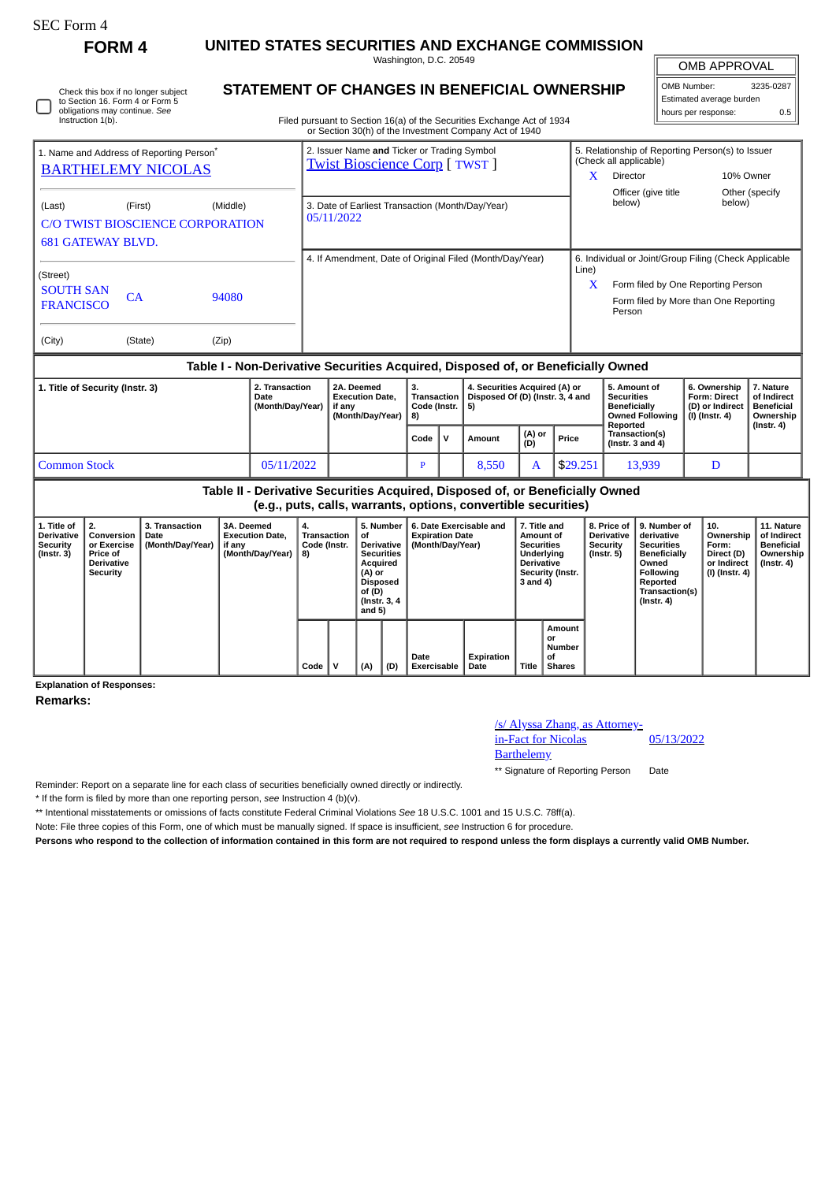**FORM 4 UNITED STATES SECURITIES AND EXCHANGE COMMISSION**

**STATEMENT OF CHANGES IN BENEFICIAL OWNERSHIP**

Washington, D.C. 20549

OMB APPROVAL

 $\mathbb{I}$ 

| OMB Number:              | 3235-0287 |
|--------------------------|-----------|
| Estimated average burden |           |
| hours per response:      | 0.5       |

| Check this box if no longer subject<br>to Section 16. Form 4 or Form 5            |         |          |                                                            |                                                                                                                                  |                                           | STATEMENT OF CHANGES IN BENEFICIAL OWNERSHIP                                     |                     |                                                          |                                                                         | Estimated average burden                                                    |                                               |
|-----------------------------------------------------------------------------------|---------|----------|------------------------------------------------------------|----------------------------------------------------------------------------------------------------------------------------------|-------------------------------------------|----------------------------------------------------------------------------------|---------------------|----------------------------------------------------------|-------------------------------------------------------------------------|-----------------------------------------------------------------------------|-----------------------------------------------|
| obligations may continue. See<br>Instruction 1(b).                                |         |          |                                                            | Filed pursuant to Section 16(a) of the Securities Exchange Act of 1934<br>or Section 30(h) of the Investment Company Act of 1940 |                                           |                                                                                  | hours per response: | 0.5                                                      |                                                                         |                                                                             |                                               |
| 1. Name and Address of Reporting Person <sup>®</sup><br><b>BARTHELEMY NICOLAS</b> |         |          |                                                            | 2. Issuer Name and Ticker or Trading Symbol<br><b>Twist Bioscience Corp [ TWST ]</b>                                             |                                           |                                                                                  | X                   | (Check all applicable)<br><b>Director</b>                | 5. Relationship of Reporting Person(s) to Issuer<br>Officer (give title |                                                                             | 10% Owner<br>Other (specify                   |
| (Last)<br><b>C/O TWIST BIOSCIENCE CORPORATION</b><br><b>681 GATEWAY BLVD.</b>     | (First) | (Middle) |                                                            | 3. Date of Earliest Transaction (Month/Day/Year)<br>05/11/2022                                                                   |                                           |                                                                                  |                     | below)                                                   |                                                                         | below)                                                                      |                                               |
|                                                                                   |         |          |                                                            |                                                                                                                                  |                                           | 4. If Amendment, Date of Original Filed (Month/Day/Year)                         | Line)               |                                                          |                                                                         | 6. Individual or Joint/Group Filing (Check Applicable                       |                                               |
| (Street)<br><b>SOUTH SAN</b><br><b>FRANCISCO</b>                                  | CA      | 94080    |                                                            |                                                                                                                                  |                                           |                                                                                  | X                   | Person                                                   |                                                                         | Form filed by One Reporting Person<br>Form filed by More than One Reporting |                                               |
| (City)                                                                            | (State) | (Zip)    |                                                            |                                                                                                                                  |                                           |                                                                                  |                     |                                                          |                                                                         |                                                                             |                                               |
|                                                                                   |         |          |                                                            |                                                                                                                                  |                                           | Table I - Non-Derivative Securities Acquired, Disposed of, or Beneficially Owned |                     |                                                          |                                                                         |                                                                             |                                               |
| 1. Title of Security (Instr. 3)                                                   |         |          | 2. Transaction<br><b>Date</b><br>(Month/Day/Year)   if any | 2A. Deemed<br><b>Execution Date,</b>                                                                                             | З.<br>Transaction<br>Code (Instr. $  5$ ) | 4. Securities Acquired (A) or<br>Disposed Of (D) (Instr. 3, 4 and                |                     | 5. Amount of<br><b>Securities</b><br><b>Beneficially</b> |                                                                         | 6. Ownership<br>Form: Direct<br>(D) or Indirect                             | 7. Nature<br>of Indirect<br><b>Beneficial</b> |

| (Month/Day/Year) if any |                                                                               | (Month/Day/Year)   8) | Code (Instr.   5) |  |        |               |          | <b>Beneficially</b><br>Owned Following   (I) (Instr. 4)<br>Reported | D) or Indirect Beneficial | Ownership<br>(Instr. 4) |  |  |
|-------------------------|-------------------------------------------------------------------------------|-----------------------|-------------------|--|--------|---------------|----------|---------------------------------------------------------------------|---------------------------|-------------------------|--|--|
|                         |                                                                               |                       | Code              |  | Amount | (A) or<br>(D) | Price    | Transaction(s)<br>(Instr. $3$ and $4$ )                             |                           |                         |  |  |
| <b>Common Stock</b>     | 05/11/2022                                                                    |                       |                   |  | 8.550  |               | \$29.251 | 13.939                                                              |                           |                         |  |  |
|                         | Table II - Derivative Securities Acquired, Disposed of, or Beneficially Owned |                       |                   |  |        |               |          |                                                                     |                           |                         |  |  |

**(e.g., puts, calls, warrants, options, convertible securities)**

| 1. Title of<br><b>Derivative</b><br>Security<br>(Instr. 3) | 2.<br>Conversion<br>or Exercise<br><b>Price of</b><br><b>Derivative</b><br>Security | 3. Transaction<br>Date<br>(Month/Day/Year) | 3A. Deemed<br><b>Execution Date.</b><br>if any<br>(Month/Day/Year) | 4.<br>Transaction<br>Code (Instr.<br>8) |  | 5. Number<br>οf<br><b>Derivative</b><br><b>Securities</b><br>Acquired<br>(A) or<br><b>Disposed</b><br>of (D)<br>(Instr. 3, 4)<br>and 5) |  | 6. Date Exercisable and<br><b>Expiration Date</b><br>(Month/Day/Year) |                    | 7. Title and<br>Amount of<br><b>Securities</b><br>Underlying<br><b>Derivative</b><br>Security (Instr.<br>3 and 4) |                                               | <b>Derivative</b><br>Security<br>(Instr. 5) | 8. Price of 19. Number of<br>derivative<br><b>Securities</b><br><b>Beneficially</b><br>Owned<br>Following<br>Reported<br>Transaction(s)<br>$($ Instr. 4 $)$ | 10.<br>Ownership<br>Form:<br>Direct (D)<br>or Indirect<br>(I) (Instr. 4) | 11. Nature<br>of Indirect<br><b>Beneficial</b><br>Ownership<br>(Instr. 4) |
|------------------------------------------------------------|-------------------------------------------------------------------------------------|--------------------------------------------|--------------------------------------------------------------------|-----------------------------------------|--|-----------------------------------------------------------------------------------------------------------------------------------------|--|-----------------------------------------------------------------------|--------------------|-------------------------------------------------------------------------------------------------------------------|-----------------------------------------------|---------------------------------------------|-------------------------------------------------------------------------------------------------------------------------------------------------------------|--------------------------------------------------------------------------|---------------------------------------------------------------------------|
|                                                            |                                                                                     |                                            |                                                                    | Code                                    |  | (D)<br>(A)                                                                                                                              |  | Date<br><b>Exercisable</b>                                            | Expiration<br>Date | <b>Title</b>                                                                                                      | Amount<br>or<br>Number<br>οf<br><b>Shares</b> |                                             |                                                                                                                                                             |                                                                          |                                                                           |

**Explanation of Responses:**

**Remarks:**

/s/ Alyssa Zhang, as Attorneyin-Fact for Nicolas

**Barthelemy** 

05/13/2022

\*\* Signature of Reporting Person Date

Reminder: Report on a separate line for each class of securities beneficially owned directly or indirectly.

\* If the form is filed by more than one reporting person, *see* Instruction 4 (b)(v).

\*\* Intentional misstatements or omissions of facts constitute Federal Criminal Violations *See* 18 U.S.C. 1001 and 15 U.S.C. 78ff(a).

Note: File three copies of this Form, one of which must be manually signed. If space is insufficient, *see* Instruction 6 for procedure.

**Persons who respond to the collection of information contained in this form are not required to respond unless the form displays a currently valid OMB Number.**